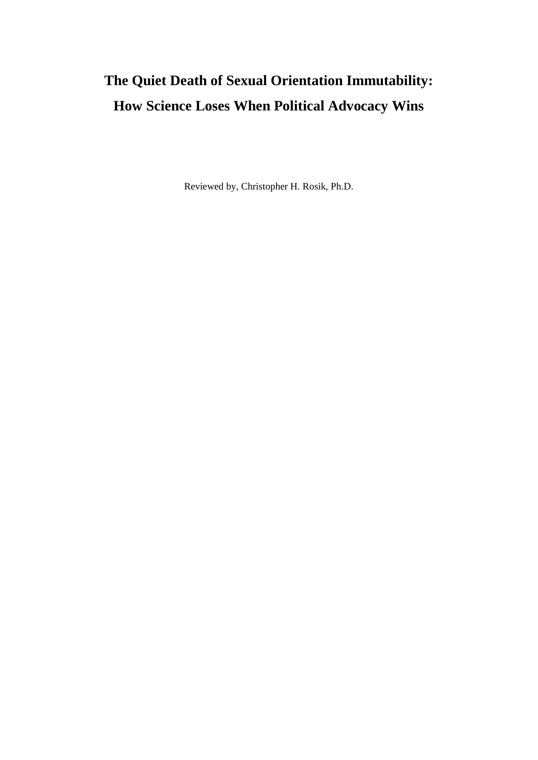# **The Quiet Death of Sexual Orientation Immutability: How Science Loses When Political Advocacy Wins**

Reviewed by, Christopher H. Rosik, Ph.D.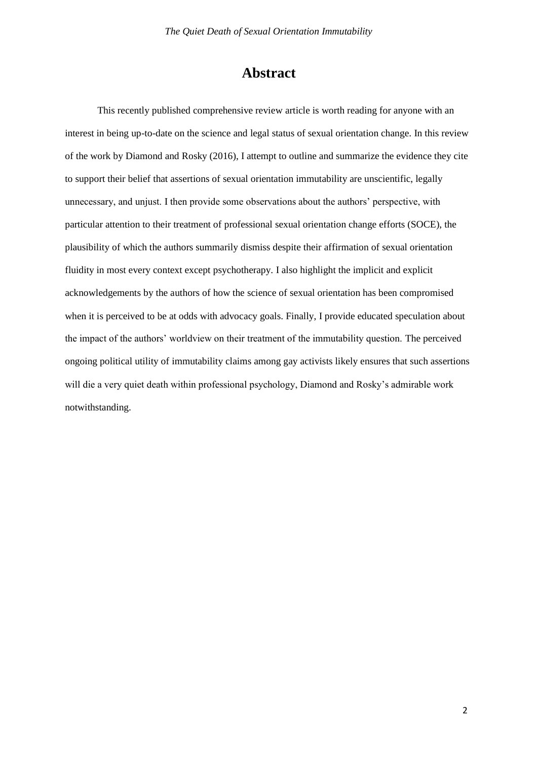# **Abstract**

This recently published comprehensive review article is worth reading for anyone with an interest in being up-to-date on the science and legal status of sexual orientation change. In this review of the work by Diamond and Rosky (2016), I attempt to outline and summarize the evidence they cite to support their belief that assertions of sexual orientation immutability are unscientific, legally unnecessary, and unjust. I then provide some observations about the authors' perspective, with particular attention to their treatment of professional sexual orientation change efforts (SOCE), the plausibility of which the authors summarily dismiss despite their affirmation of sexual orientation fluidity in most every context except psychotherapy. I also highlight the implicit and explicit acknowledgements by the authors of how the science of sexual orientation has been compromised when it is perceived to be at odds with advocacy goals. Finally, I provide educated speculation about the impact of the authors' worldview on their treatment of the immutability question. The perceived ongoing political utility of immutability claims among gay activists likely ensures that such assertions will die a very quiet death within professional psychology, Diamond and Rosky's admirable work notwithstanding.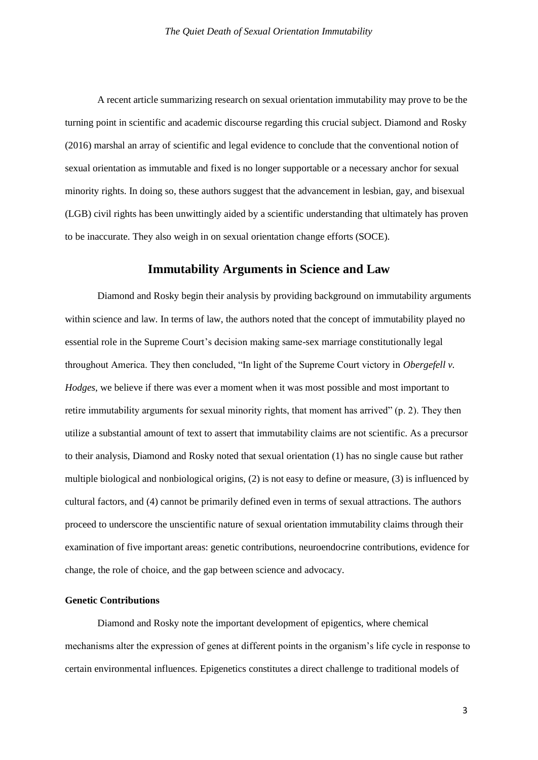A recent article summarizing research on sexual orientation immutability may prove to be the turning point in scientific and academic discourse regarding this crucial subject. Diamond and Rosky (2016) marshal an array of scientific and legal evidence to conclude that the conventional notion of sexual orientation as immutable and fixed is no longer supportable or a necessary anchor for sexual minority rights. In doing so, these authors suggest that the advancement in lesbian, gay, and bisexual (LGB) civil rights has been unwittingly aided by a scientific understanding that ultimately has proven to be inaccurate. They also weigh in on sexual orientation change efforts (SOCE).

# **Immutability Arguments in Science and Law**

Diamond and Rosky begin their analysis by providing background on immutability arguments within science and law. In terms of law, the authors noted that the concept of immutability played no essential role in the Supreme Court's decision making same-sex marriage constitutionally legal throughout America. They then concluded, "In light of the Supreme Court victory in *Obergefell v. Hodges*, we believe if there was ever a moment when it was most possible and most important to retire immutability arguments for sexual minority rights, that moment has arrived" (p. 2). They then utilize a substantial amount of text to assert that immutability claims are not scientific. As a precursor to their analysis, Diamond and Rosky noted that sexual orientation (1) has no single cause but rather multiple biological and nonbiological origins, (2) is not easy to define or measure, (3) is influenced by cultural factors, and (4) cannot be primarily defined even in terms of sexual attractions. The authors proceed to underscore the unscientific nature of sexual orientation immutability claims through their examination of five important areas: genetic contributions, neuroendocrine contributions, evidence for change, the role of choice, and the gap between science and advocacy.

#### **Genetic Contributions**

Diamond and Rosky note the important development of epigentics, where chemical mechanisms alter the expression of genes at different points in the organism's life cycle in response to certain environmental influences. Epigenetics constitutes a direct challenge to traditional models of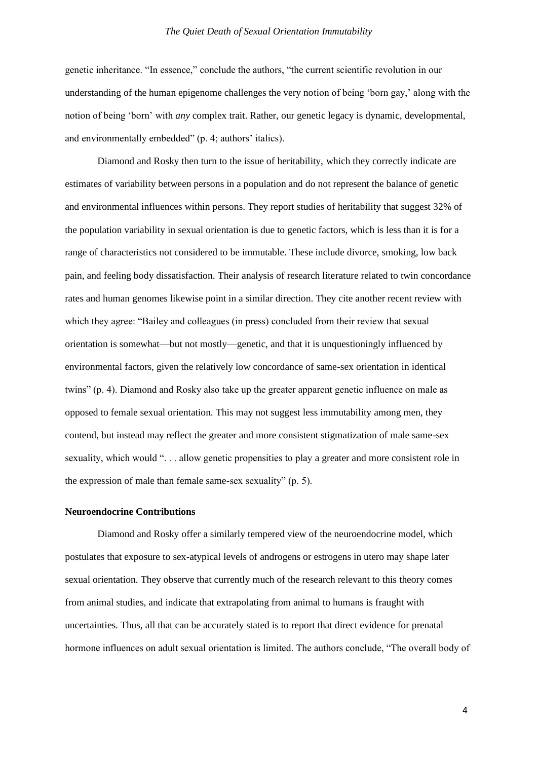genetic inheritance. "In essence," conclude the authors, "the current scientific revolution in our understanding of the human epigenome challenges the very notion of being 'born gay,' along with the notion of being 'born' with *any* complex trait. Rather, our genetic legacy is dynamic, developmental, and environmentally embedded" (p. 4; authors' italics).

Diamond and Rosky then turn to the issue of heritability, which they correctly indicate are estimates of variability between persons in a population and do not represent the balance of genetic and environmental influences within persons. They report studies of heritability that suggest 32% of the population variability in sexual orientation is due to genetic factors, which is less than it is for a range of characteristics not considered to be immutable. These include divorce, smoking, low back pain, and feeling body dissatisfaction. Their analysis of research literature related to twin concordance rates and human genomes likewise point in a similar direction. They cite another recent review with which they agree: "Bailey and colleagues (in press) concluded from their review that sexual orientation is somewhat—but not mostly—genetic, and that it is unquestioningly influenced by environmental factors, given the relatively low concordance of same-sex orientation in identical twins" (p. 4). Diamond and Rosky also take up the greater apparent genetic influence on male as opposed to female sexual orientation. This may not suggest less immutability among men, they contend, but instead may reflect the greater and more consistent stigmatization of male same-sex sexuality, which would ". . . allow genetic propensities to play a greater and more consistent role in the expression of male than female same-sex sexuality" (p. 5).

## **Neuroendocrine Contributions**

Diamond and Rosky offer a similarly tempered view of the neuroendocrine model, which postulates that exposure to sex-atypical levels of androgens or estrogens in utero may shape later sexual orientation. They observe that currently much of the research relevant to this theory comes from animal studies, and indicate that extrapolating from animal to humans is fraught with uncertainties. Thus, all that can be accurately stated is to report that direct evidence for prenatal hormone influences on adult sexual orientation is limited. The authors conclude, "The overall body of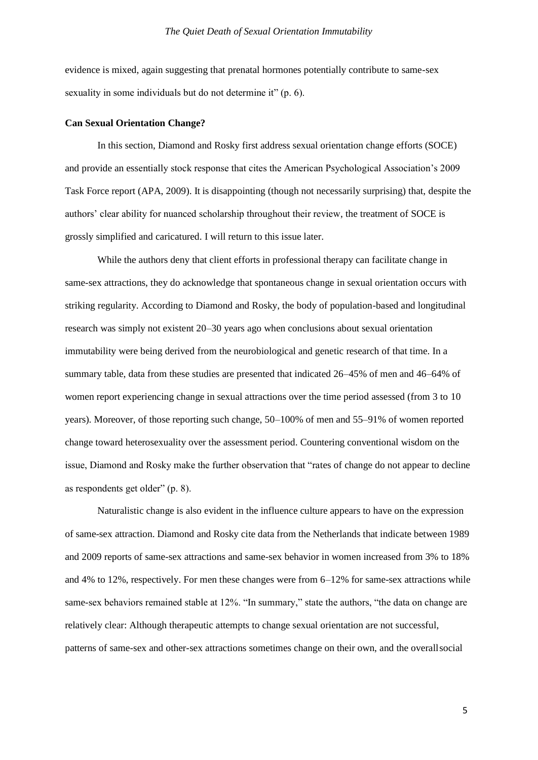evidence is mixed, again suggesting that prenatal hormones potentially contribute to same-sex sexuality in some individuals but do not determine it" (p. 6).

#### **Can Sexual Orientation Change?**

In this section, Diamond and Rosky first address sexual orientation change efforts (SOCE) and provide an essentially stock response that cites the American Psychological Association's 2009 Task Force report (APA, 2009). It is disappointing (though not necessarily surprising) that, despite the authors' clear ability for nuanced scholarship throughout their review, the treatment of SOCE is grossly simplified and caricatured. I will return to this issue later.

While the authors deny that client efforts in professional therapy can facilitate change in same-sex attractions, they do acknowledge that spontaneous change in sexual orientation occurs with striking regularity. According to Diamond and Rosky, the body of population-based and longitudinal research was simply not existent 20–30 years ago when conclusions about sexual orientation immutability were being derived from the neurobiological and genetic research of that time. In a summary table, data from these studies are presented that indicated 26–45% of men and 46–64% of women report experiencing change in sexual attractions over the time period assessed (from 3 to 10 years). Moreover, of those reporting such change, 50–100% of men and 55–91% of women reported change toward heterosexuality over the assessment period. Countering conventional wisdom on the issue, Diamond and Rosky make the further observation that "rates of change do not appear to decline as respondents get older" (p. 8).

Naturalistic change is also evident in the influence culture appears to have on the expression of same-sex attraction. Diamond and Rosky cite data from the Netherlands that indicate between 1989 and 2009 reports of same-sex attractions and same-sex behavior in women increased from 3% to 18% and 4% to 12%, respectively. For men these changes were from 6–12% for same-sex attractions while same-sex behaviors remained stable at 12%. "In summary," state the authors, "the data on change are relatively clear: Although therapeutic attempts to change sexual orientation are not successful, patterns of same-sex and other-sex attractions sometimes change on their own, and the overallsocial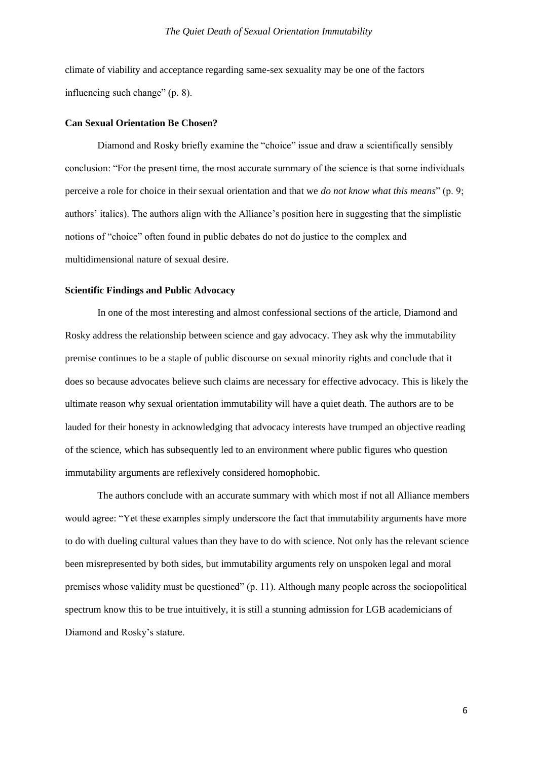climate of viability and acceptance regarding same-sex sexuality may be one of the factors influencing such change" (p. 8).

#### **Can Sexual Orientation Be Chosen?**

Diamond and Rosky briefly examine the "choice" issue and draw a scientifically sensibly conclusion: "For the present time, the most accurate summary of the science is that some individuals perceive a role for choice in their sexual orientation and that we *do not know what this means*" (p. 9; authors' italics). The authors align with the Alliance's position here in suggesting that the simplistic notions of "choice" often found in public debates do not do justice to the complex and multidimensional nature of sexual desire.

### **Scientific Findings and Public Advocacy**

In one of the most interesting and almost confessional sections of the article, Diamond and Rosky address the relationship between science and gay advocacy. They ask why the immutability premise continues to be a staple of public discourse on sexual minority rights and conclude that it does so because advocates believe such claims are necessary for effective advocacy. This is likely the ultimate reason why sexual orientation immutability will have a quiet death. The authors are to be lauded for their honesty in acknowledging that advocacy interests have trumped an objective reading of the science, which has subsequently led to an environment where public figures who question immutability arguments are reflexively considered homophobic.

The authors conclude with an accurate summary with which most if not all Alliance members would agree: "Yet these examples simply underscore the fact that immutability arguments have more to do with dueling cultural values than they have to do with science. Not only has the relevant science been misrepresented by both sides, but immutability arguments rely on unspoken legal and moral premises whose validity must be questioned" (p. 11). Although many people across the sociopolitical spectrum know this to be true intuitively, it is still a stunning admission for LGB academicians of Diamond and Rosky's stature.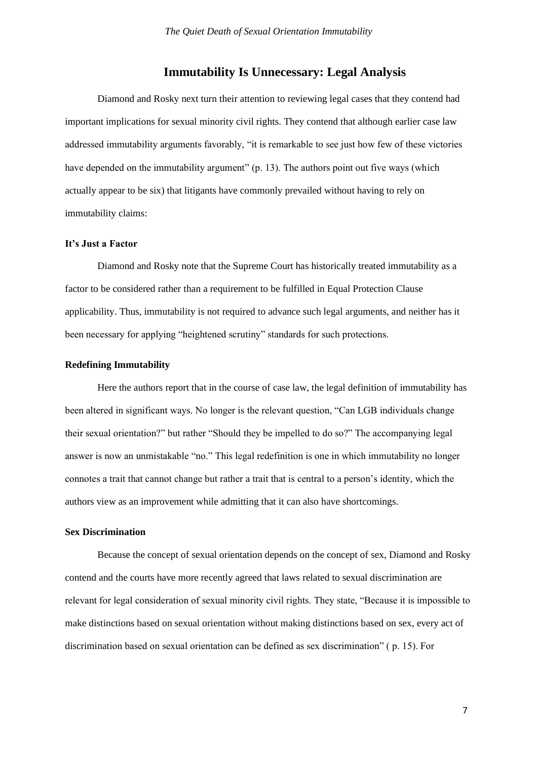# **Immutability Is Unnecessary: Legal Analysis**

Diamond and Rosky next turn their attention to reviewing legal cases that they contend had important implications for sexual minority civil rights. They contend that although earlier case law addressed immutability arguments favorably, "it is remarkable to see just how few of these victories have depended on the immutability argument" (p. 13). The authors point out five ways (which actually appear to be six) that litigants have commonly prevailed without having to rely on immutability claims:

## **It's Just a Factor**

Diamond and Rosky note that the Supreme Court has historically treated immutability as a factor to be considered rather than a requirement to be fulfilled in Equal Protection Clause applicability. Thus, immutability is not required to advance such legal arguments, and neither has it been necessary for applying "heightened scrutiny" standards for such protections.

#### **Redefining Immutability**

Here the authors report that in the course of case law, the legal definition of immutability has been altered in significant ways. No longer is the relevant question, "Can LGB individuals change their sexual orientation?" but rather "Should they be impelled to do so?" The accompanying legal answer is now an unmistakable "no." This legal redefinition is one in which immutability no longer connotes a trait that cannot change but rather a trait that is central to a person's identity, which the authors view as an improvement while admitting that it can also have shortcomings.

#### **Sex Discrimination**

Because the concept of sexual orientation depends on the concept of sex, Diamond and Rosky contend and the courts have more recently agreed that laws related to sexual discrimination are relevant for legal consideration of sexual minority civil rights. They state, "Because it is impossible to make distinctions based on sexual orientation without making distinctions based on sex, every act of discrimination based on sexual orientation can be defined as sex discrimination" ( p. 15). For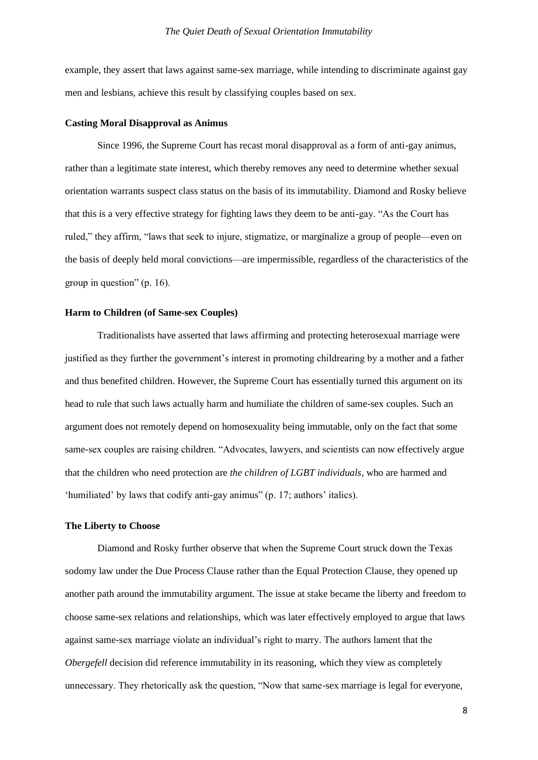example, they assert that laws against same-sex marriage, while intending to discriminate against gay men and lesbians, achieve this result by classifying couples based on sex.

#### **Casting Moral Disapproval as Animus**

Since 1996, the Supreme Court has recast moral disapproval as a form of anti-gay animus, rather than a legitimate state interest, which thereby removes any need to determine whether sexual orientation warrants suspect class status on the basis of its immutability. Diamond and Rosky believe that this is a very effective strategy for fighting laws they deem to be anti-gay. "As the Court has ruled," they affirm, "laws that seek to injure, stigmatize, or marginalize a group of people—even on the basis of deeply held moral convictions—are impermissible, regardless of the characteristics of the group in question" (p. 16).

#### **Harm to Children (of Same-sex Couples)**

Traditionalists have asserted that laws affirming and protecting heterosexual marriage were justified as they further the government's interest in promoting childrearing by a mother and a father and thus benefited children. However, the Supreme Court has essentially turned this argument on its head to rule that such laws actually harm and humiliate the children of same-sex couples. Such an argument does not remotely depend on homosexuality being immutable, only on the fact that some same-sex couples are raising children. "Advocates, lawyers, and scientists can now effectively argue that the children who need protection are *the children of LGBT individuals*, who are harmed and 'humiliated' by laws that codify anti-gay animus" (p. 17; authors' italics).

#### **The Liberty to Choose**

Diamond and Rosky further observe that when the Supreme Court struck down the Texas sodomy law under the Due Process Clause rather than the Equal Protection Clause, they opened up another path around the immutability argument. The issue at stake became the liberty and freedom to choose same-sex relations and relationships, which was later effectively employed to argue that laws against same-sex marriage violate an individual's right to marry. The authors lament that the *Obergefell* decision did reference immutability in its reasoning, which they view as completely unnecessary. They rhetorically ask the question, "Now that same-sex marriage is legal for everyone,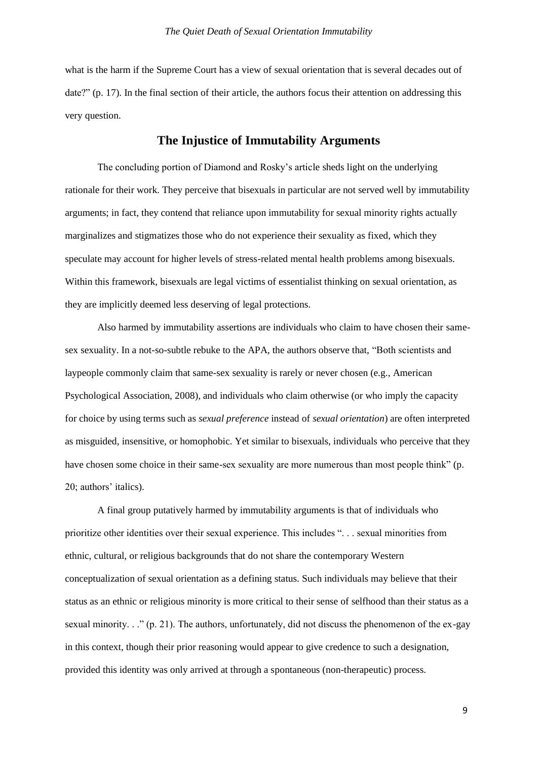what is the harm if the Supreme Court has a view of sexual orientation that is several decades out of date?" (p. 17). In the final section of their article, the authors focus their attention on addressing this very question.

# **The Injustice of Immutability Arguments**

The concluding portion of Diamond and Rosky's article sheds light on the underlying rationale for their work. They perceive that bisexuals in particular are not served well by immutability arguments; in fact, they contend that reliance upon immutability for sexual minority rights actually marginalizes and stigmatizes those who do not experience their sexuality as fixed, which they speculate may account for higher levels of stress-related mental health problems among bisexuals. Within this framework, bisexuals are legal victims of essentialist thinking on sexual orientation, as they are implicitly deemed less deserving of legal protections.

Also harmed by immutability assertions are individuals who claim to have chosen their samesex sexuality. In a not-so-subtle rebuke to the APA, the authors observe that, "Both scientists and laypeople commonly claim that same-sex sexuality is rarely or never chosen (e.g., American Psychological Association, 2008), and individuals who claim otherwise (or who imply the capacity for choice by using terms such as *sexual preference* instead of *sexual orientation*) are often interpreted as misguided, insensitive, or homophobic. Yet similar to bisexuals, individuals who perceive that they have chosen some choice in their same-sex sexuality are more numerous than most people think" (p. 20; authors' italics).

A final group putatively harmed by immutability arguments is that of individuals who prioritize other identities over their sexual experience. This includes ". . . sexual minorities from ethnic, cultural, or religious backgrounds that do not share the contemporary Western conceptualization of sexual orientation as a defining status. Such individuals may believe that their status as an ethnic or religious minority is more critical to their sense of selfhood than their status as a sexual minority. . ." (p. 21). The authors, unfortunately, did not discuss the phenomenon of the ex-gay in this context, though their prior reasoning would appear to give credence to such a designation, provided this identity was only arrived at through a spontaneous (non-therapeutic) process.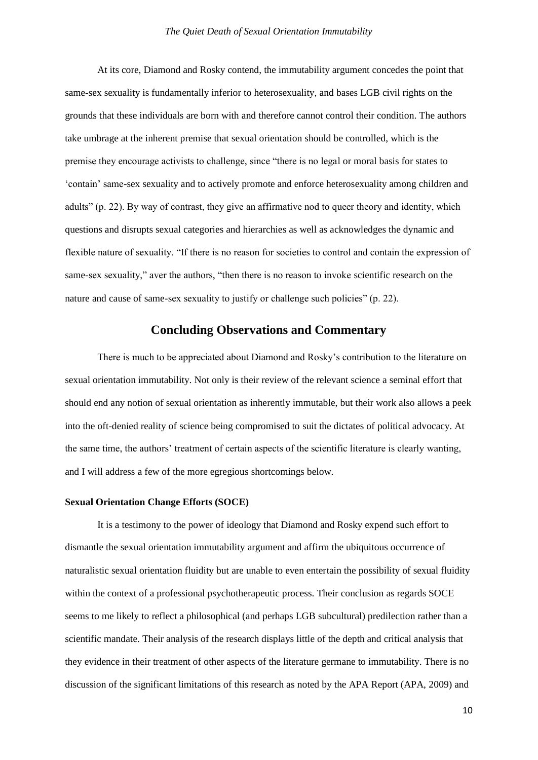At its core, Diamond and Rosky contend, the immutability argument concedes the point that same-sex sexuality is fundamentally inferior to heterosexuality, and bases LGB civil rights on the grounds that these individuals are born with and therefore cannot control their condition. The authors take umbrage at the inherent premise that sexual orientation should be controlled, which is the premise they encourage activists to challenge, since "there is no legal or moral basis for states to 'contain' same-sex sexuality and to actively promote and enforce heterosexuality among children and adults" (p. 22). By way of contrast, they give an affirmative nod to queer theory and identity, which questions and disrupts sexual categories and hierarchies as well as acknowledges the dynamic and flexible nature of sexuality. "If there is no reason for societies to control and contain the expression of same-sex sexuality," aver the authors, "then there is no reason to invoke scientific research on the nature and cause of same-sex sexuality to justify or challenge such policies" (p. 22).

# **Concluding Observations and Commentary**

There is much to be appreciated about Diamond and Rosky's contribution to the literature on sexual orientation immutability. Not only is their review of the relevant science a seminal effort that should end any notion of sexual orientation as inherently immutable, but their work also allows a peek into the oft-denied reality of science being compromised to suit the dictates of political advocacy. At the same time, the authors' treatment of certain aspects of the scientific literature is clearly wanting, and I will address a few of the more egregious shortcomings below.

#### **Sexual Orientation Change Efforts (SOCE)**

It is a testimony to the power of ideology that Diamond and Rosky expend such effort to dismantle the sexual orientation immutability argument and affirm the ubiquitous occurrence of naturalistic sexual orientation fluidity but are unable to even entertain the possibility of sexual fluidity within the context of a professional psychotherapeutic process. Their conclusion as regards SOCE seems to me likely to reflect a philosophical (and perhaps LGB subcultural) predilection rather than a scientific mandate. Their analysis of the research displays little of the depth and critical analysis that they evidence in their treatment of other aspects of the literature germane to immutability. There is no discussion of the significant limitations of this research as noted by the APA Report (APA, 2009) and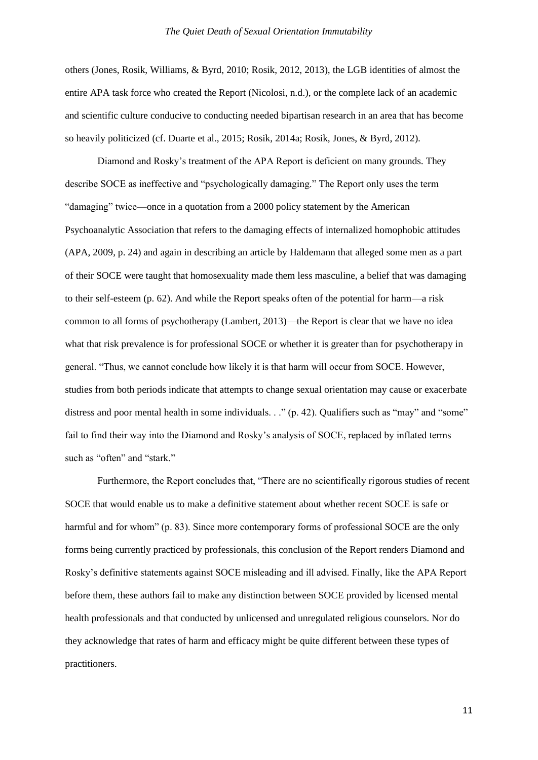others (Jones, Rosik, Williams, & Byrd, 2010; Rosik, 2012, 2013), the LGB identities of almost the entire APA task force who created the Report (Nicolosi, n.d.), or the complete lack of an academic and scientific culture conducive to conducting needed bipartisan research in an area that has become so heavily politicized (cf. Duarte et al., 2015; Rosik, 2014a; Rosik, Jones, & Byrd, 2012).

Diamond and Rosky's treatment of the APA Report is deficient on many grounds. They describe SOCE as ineffective and "psychologically damaging." The Report only uses the term "damaging" twice—once in a quotation from a 2000 policy statement by the American Psychoanalytic Association that refers to the damaging effects of internalized homophobic attitudes (APA, 2009, p. 24) and again in describing an article by Haldemann that alleged some men as a part of their SOCE were taught that homosexuality made them less masculine, a belief that was damaging to their self-esteem (p. 62). And while the Report speaks often of the potential for harm—a risk common to all forms of psychotherapy (Lambert, 2013)—the Report is clear that we have no idea what that risk prevalence is for professional SOCE or whether it is greater than for psychotherapy in general. "Thus, we cannot conclude how likely it is that harm will occur from SOCE. However, studies from both periods indicate that attempts to change sexual orientation may cause or exacerbate distress and poor mental health in some individuals. . ." (p. 42). Qualifiers such as "may" and "some" fail to find their way into the Diamond and Rosky's analysis of SOCE, replaced by inflated terms such as "often" and "stark."

Furthermore, the Report concludes that, "There are no scientifically rigorous studies of recent SOCE that would enable us to make a definitive statement about whether recent SOCE is safe or harmful and for whom" (p. 83). Since more contemporary forms of professional SOCE are the only forms being currently practiced by professionals, this conclusion of the Report renders Diamond and Rosky's definitive statements against SOCE misleading and ill advised. Finally, like the APA Report before them, these authors fail to make any distinction between SOCE provided by licensed mental health professionals and that conducted by unlicensed and unregulated religious counselors. Nor do they acknowledge that rates of harm and efficacy might be quite different between these types of practitioners.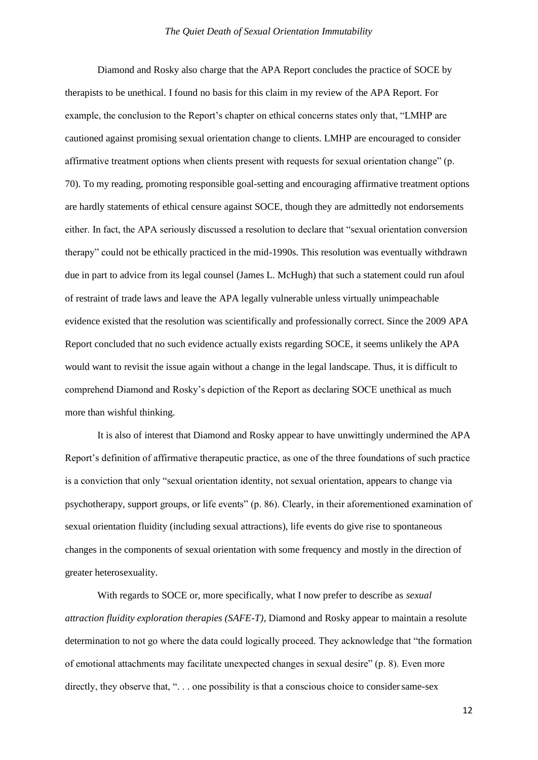Diamond and Rosky also charge that the APA Report concludes the practice of SOCE by therapists to be unethical. I found no basis for this claim in my review of the APA Report. For example, the conclusion to the Report's chapter on ethical concerns states only that, "LMHP are cautioned against promising sexual orientation change to clients. LMHP are encouraged to consider affirmative treatment options when clients present with requests for sexual orientation change" (p. 70). To my reading, promoting responsible goal-setting and encouraging affirmative treatment options are hardly statements of ethical censure against SOCE, though they are admittedly not endorsements either. In fact, the APA seriously discussed a resolution to declare that "sexual orientation conversion therapy" could not be ethically practiced in the mid-1990s. This resolution was eventually withdrawn due in part to advice from its legal counsel (James L. McHugh) that such a statement could run afoul of restraint of trade laws and leave the APA legally vulnerable unless virtually unimpeachable evidence existed that the resolution was scientifically and professionally correct. Since the 2009 APA Report concluded that no such evidence actually exists regarding SOCE, it seems unlikely the APA would want to revisit the issue again without a change in the legal landscape. Thus, it is difficult to comprehend Diamond and Rosky's depiction of the Report as declaring SOCE unethical as much more than wishful thinking.

It is also of interest that Diamond and Rosky appear to have unwittingly undermined the APA Report's definition of affirmative therapeutic practice, as one of the three foundations of such practice is a conviction that only "sexual orientation identity, not sexual orientation, appears to change via psychotherapy, support groups, or life events" (p. 86). Clearly, in their aforementioned examination of sexual orientation fluidity (including sexual attractions), life events do give rise to spontaneous changes in the components of sexual orientation with some frequency and mostly in the direction of greater heterosexuality.

With regards to SOCE or, more specifically, what I now prefer to describe as *sexual attraction fluidity exploration therapies (SAFE-T)*, Diamond and Rosky appear to maintain a resolute determination to not go where the data could logically proceed. They acknowledge that "the formation of emotional attachments may facilitate unexpected changes in sexual desire" (p. 8). Even more directly, they observe that, "... one possibility is that a conscious choice to consider same-sex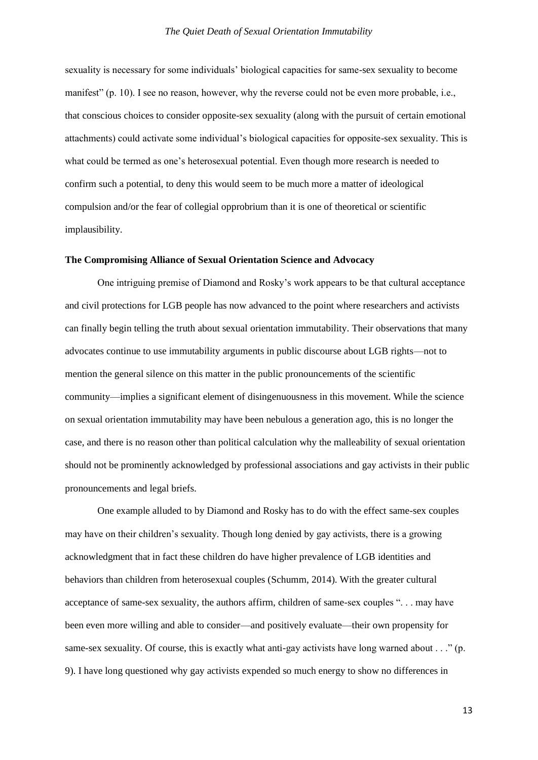sexuality is necessary for some individuals' biological capacities for same-sex sexuality to become manifest" (p. 10). I see no reason, however, why the reverse could not be even more probable, i.e., that conscious choices to consider opposite-sex sexuality (along with the pursuit of certain emotional attachments) could activate some individual's biological capacities for opposite-sex sexuality. This is what could be termed as one's heterosexual potential. Even though more research is needed to confirm such a potential, to deny this would seem to be much more a matter of ideological compulsion and/or the fear of collegial opprobrium than it is one of theoretical or scientific implausibility.

#### **The Compromising Alliance of Sexual Orientation Science and Advocacy**

One intriguing premise of Diamond and Rosky's work appears to be that cultural acceptance and civil protections for LGB people has now advanced to the point where researchers and activists can finally begin telling the truth about sexual orientation immutability. Their observations that many advocates continue to use immutability arguments in public discourse about LGB rights—not to mention the general silence on this matter in the public pronouncements of the scientific community—implies a significant element of disingenuousness in this movement. While the science on sexual orientation immutability may have been nebulous a generation ago, this is no longer the case, and there is no reason other than political calculation why the malleability of sexual orientation should not be prominently acknowledged by professional associations and gay activists in their public pronouncements and legal briefs.

One example alluded to by Diamond and Rosky has to do with the effect same-sex couples may have on their children's sexuality. Though long denied by gay activists, there is a growing acknowledgment that in fact these children do have higher prevalence of LGB identities and behaviors than children from heterosexual couples (Schumm, 2014). With the greater cultural acceptance of same-sex sexuality, the authors affirm, children of same-sex couples ". . . may have been even more willing and able to consider—and positively evaluate—their own propensity for same-sex sexuality. Of course, this is exactly what anti-gay activists have long warned about . . ." (p. 9). I have long questioned why gay activists expended so much energy to show no differences in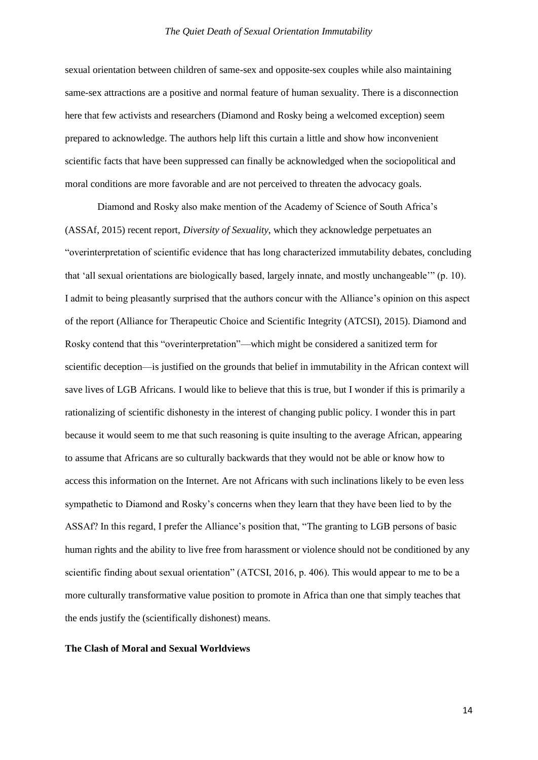sexual orientation between children of same-sex and opposite-sex couples while also maintaining same-sex attractions are a positive and normal feature of human sexuality. There is a disconnection here that few activists and researchers (Diamond and Rosky being a welcomed exception) seem prepared to acknowledge. The authors help lift this curtain a little and show how inconvenient scientific facts that have been suppressed can finally be acknowledged when the sociopolitical and moral conditions are more favorable and are not perceived to threaten the advocacy goals.

Diamond and Rosky also make mention of the Academy of Science of South Africa's (ASSAf, 2015) recent report, *Diversity of Sexuality*, which they acknowledge perpetuates an "overinterpretation of scientific evidence that has long characterized immutability debates, concluding that 'all sexual orientations are biologically based, largely innate, and mostly unchangeable'" (p. 10). I admit to being pleasantly surprised that the authors concur with the Alliance's opinion on this aspect of the report (Alliance for Therapeutic Choice and Scientific Integrity (ATCSI), 2015). Diamond and Rosky contend that this "overinterpretation"—which might be considered a sanitized term for scientific deception—is justified on the grounds that belief in immutability in the African context will save lives of LGB Africans. I would like to believe that this is true, but I wonder if this is primarily a rationalizing of scientific dishonesty in the interest of changing public policy. I wonder this in part because it would seem to me that such reasoning is quite insulting to the average African, appearing to assume that Africans are so culturally backwards that they would not be able or know how to access this information on the Internet. Are not Africans with such inclinations likely to be even less sympathetic to Diamond and Rosky's concerns when they learn that they have been lied to by the ASSAf? In this regard, I prefer the Alliance's position that, "The granting to LGB persons of basic human rights and the ability to live free from harassment or violence should not be conditioned by any scientific finding about sexual orientation" (ATCSI, 2016, p. 406). This would appear to me to be a more culturally transformative value position to promote in Africa than one that simply teaches that the ends justify the (scientifically dishonest) means.

#### **The Clash of Moral and Sexual Worldviews**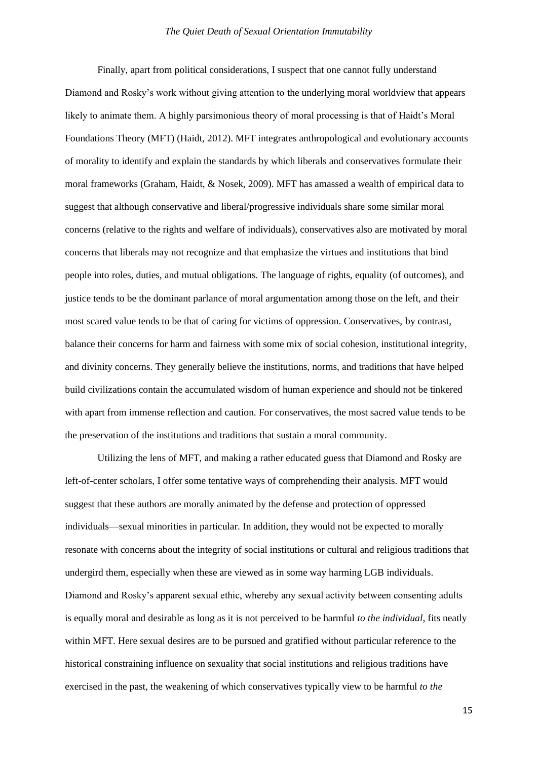Finally, apart from political considerations, I suspect that one cannot fully understand Diamond and Rosky's work without giving attention to the underlying moral worldview that appears likely to animate them. A highly parsimonious theory of moral processing is that of Haidt's Moral Foundations Theory (MFT) (Haidt, 2012). MFT integrates anthropological and evolutionary accounts of morality to identify and explain the standards by which liberals and conservatives formulate their moral frameworks (Graham, Haidt, & Nosek, 2009). MFT has amassed a wealth of empirical data to suggest that although conservative and liberal/progressive individuals share some similar moral concerns (relative to the rights and welfare of individuals), conservatives also are motivated by moral concerns that liberals may not recognize and that emphasize the virtues and institutions that bind people into roles, duties, and mutual obligations. The language of rights, equality (of outcomes), and justice tends to be the dominant parlance of moral argumentation among those on the left, and their most scared value tends to be that of caring for victims of oppression. Conservatives, by contrast, balance their concerns for harm and fairness with some mix of social cohesion, institutional integrity, and divinity concerns. They generally believe the institutions, norms, and traditions that have helped build civilizations contain the accumulated wisdom of human experience and should not be tinkered with apart from immense reflection and caution. For conservatives, the most sacred value tends to be the preservation of the institutions and traditions that sustain a moral community.

Utilizing the lens of MFT, and making a rather educated guess that Diamond and Rosky are left-of-center scholars, I offer some tentative ways of comprehending their analysis. MFT would suggest that these authors are morally animated by the defense and protection of oppressed individuals—sexual minorities in particular. In addition, they would not be expected to morally resonate with concerns about the integrity of social institutions or cultural and religious traditions that undergird them, especially when these are viewed as in some way harming LGB individuals. Diamond and Rosky's apparent sexual ethic, whereby any sexual activity between consenting adults is equally moral and desirable as long as it is not perceived to be harmful *to the individual*, fits neatly within MFT. Here sexual desires are to be pursued and gratified without particular reference to the historical constraining influence on sexuality that social institutions and religious traditions have exercised in the past, the weakening of which conservatives typically view to be harmful *to the*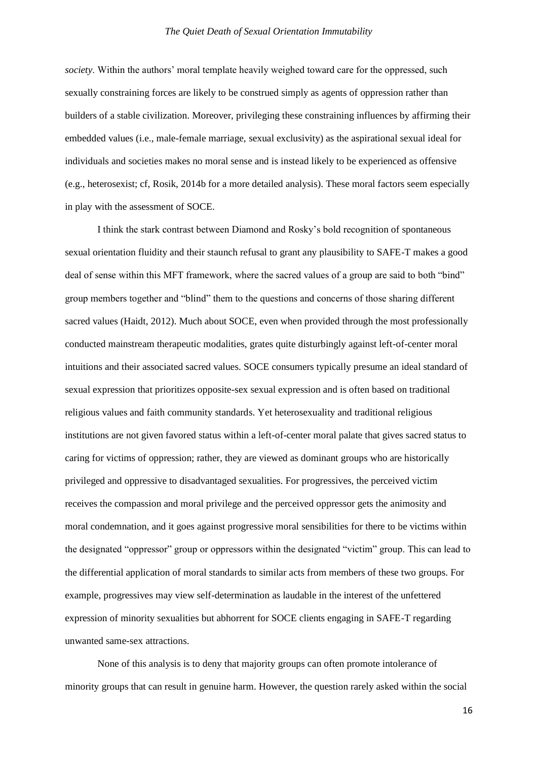*society*. Within the authors' moral template heavily weighed toward care for the oppressed, such sexually constraining forces are likely to be construed simply as agents of oppression rather than builders of a stable civilization. Moreover, privileging these constraining influences by affirming their embedded values (i.e., male-female marriage, sexual exclusivity) as the aspirational sexual ideal for individuals and societies makes no moral sense and is instead likely to be experienced as offensive (e.g., heterosexist; cf, Rosik, 2014b for a more detailed analysis). These moral factors seem especially in play with the assessment of SOCE.

I think the stark contrast between Diamond and Rosky's bold recognition of spontaneous sexual orientation fluidity and their staunch refusal to grant any plausibility to SAFE-T makes a good deal of sense within this MFT framework, where the sacred values of a group are said to both "bind" group members together and "blind" them to the questions and concerns of those sharing different sacred values (Haidt, 2012). Much about SOCE, even when provided through the most professionally conducted mainstream therapeutic modalities, grates quite disturbingly against left-of-center moral intuitions and their associated sacred values. SOCE consumers typically presume an ideal standard of sexual expression that prioritizes opposite-sex sexual expression and is often based on traditional religious values and faith community standards. Yet heterosexuality and traditional religious institutions are not given favored status within a left-of-center moral palate that gives sacred status to caring for victims of oppression; rather, they are viewed as dominant groups who are historically privileged and oppressive to disadvantaged sexualities. For progressives, the perceived victim receives the compassion and moral privilege and the perceived oppressor gets the animosity and moral condemnation, and it goes against progressive moral sensibilities for there to be victims within the designated "oppressor" group or oppressors within the designated "victim" group. This can lead to the differential application of moral standards to similar acts from members of these two groups. For example, progressives may view self-determination as laudable in the interest of the unfettered expression of minority sexualities but abhorrent for SOCE clients engaging in SAFE-T regarding unwanted same-sex attractions.

None of this analysis is to deny that majority groups can often promote intolerance of minority groups that can result in genuine harm. However, the question rarely asked within the social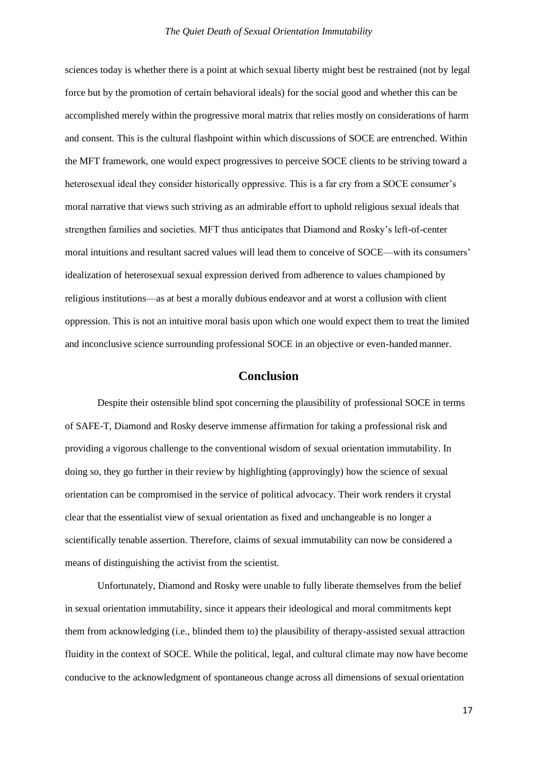sciences today is whether there is a point at which sexual liberty might best be restrained (not by legal force but by the promotion of certain behavioral ideals) for the social good and whether this can be accomplished merely within the progressive moral matrix that relies mostly on considerations of harm and consent. This is the cultural flashpoint within which discussions of SOCE are entrenched. Within the MFT framework, one would expect progressives to perceive SOCE clients to be striving toward a heterosexual ideal they consider historically oppressive. This is a far cry from a SOCE consumer's moral narrative that views such striving as an admirable effort to uphold religious sexual ideals that strengthen families and societies. MFT thus anticipates that Diamond and Rosky's left-of-center moral intuitions and resultant sacred values will lead them to conceive of SOCE—with its consumers' idealization of heterosexual sexual expression derived from adherence to values championed by religious institutions—as at best a morally dubious endeavor and at worst a collusion with client oppression. This is not an intuitive moral basis upon which one would expect them to treat the limited and inconclusive science surrounding professional SOCE in an objective or even-handed manner.

# **Conclusion**

Despite their ostensible blind spot concerning the plausibility of professional SOCE in terms of SAFE-T, Diamond and Rosky deserve immense affirmation for taking a professional risk and providing a vigorous challenge to the conventional wisdom of sexual orientation immutability. In doing so, they go further in their review by highlighting (approvingly) how the science of sexual orientation can be compromised in the service of political advocacy. Their work renders it crystal clear that the essentialist view of sexual orientation as fixed and unchangeable is no longer a scientifically tenable assertion. Therefore, claims of sexual immutability can now be considered a means of distinguishing the activist from the scientist.

Unfortunately, Diamond and Rosky were unable to fully liberate themselves from the belief in sexual orientation immutability, since it appears their ideological and moral commitments kept them from acknowledging (i.e., blinded them to) the plausibility of therapy-assisted sexual attraction fluidity in the context of SOCE. While the political, legal, and cultural climate may now have become conducive to the acknowledgment of spontaneous change across all dimensions of sexual orientation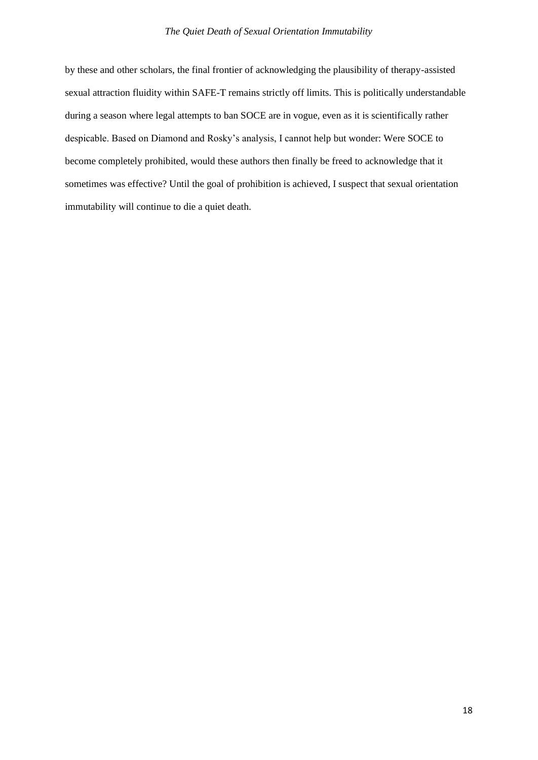by these and other scholars, the final frontier of acknowledging the plausibility of therapy-assisted sexual attraction fluidity within SAFE-T remains strictly off limits. This is politically understandable during a season where legal attempts to ban SOCE are in vogue, even as it is scientifically rather despicable. Based on Diamond and Rosky's analysis, I cannot help but wonder: Were SOCE to become completely prohibited, would these authors then finally be freed to acknowledge that it sometimes was effective? Until the goal of prohibition is achieved, I suspect that sexual orientation immutability will continue to die a quiet death.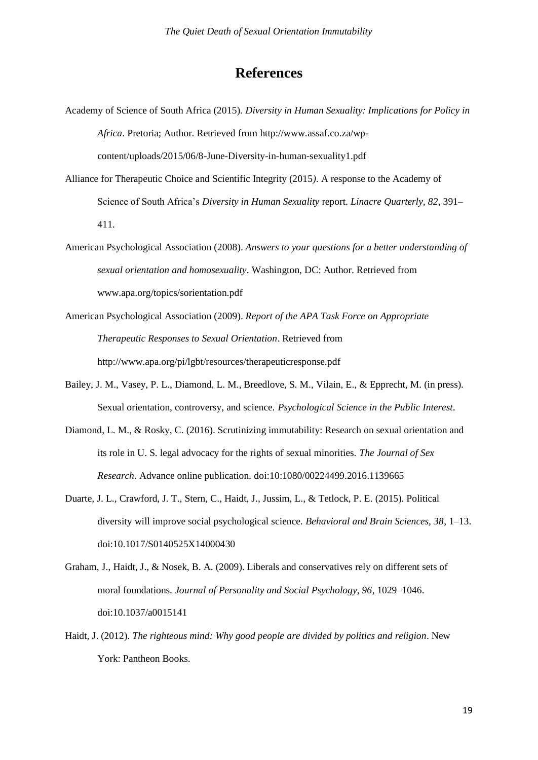# **References**

- Academy of Science of South Africa (2015). *Diversity in Human Sexuality: Implications for Policy in Africa*. Pretoria; Author. Retrieved from [http://www.assaf.co.za/wp](http://www.assaf.co.za/wp-)content/uploads/2015/06/8-June-Diversity-in-human-sexuality1.pdf
- Alliance for Therapeutic Choice and Scientific Integrity (2015*).* A response to the Academy of Science of South Africa's *Diversity in Human Sexuality* report. *Linacre Quarterly, 82*, 391– 411.
- American Psychological Association (2008). *Answers to your questions for a better understanding of sexual orientation and homosexuality*. Washington, DC: Author. Retrieved from [www.apa.org/topics/sorientation.pdf](http://www.apa.org/topics/sorientation.pdf)
- American Psychological Association (2009). *Report of the APA Task Force on Appropriate Therapeutic Responses to Sexual Orientation*. Retrieved from <http://www.apa.org/pi/lgbt/resources/therapeuticresponse.pdf>
- Bailey, J. M., Vasey, P. L., Diamond, L. M., Breedlove, S. M., Vilain, E., & Epprecht, M. (in press). Sexual orientation, controversy, and science. *Psychological Science in the Public Interest*.
- Diamond, L. M., & Rosky, C. (2016). Scrutinizing immutability: Research on sexual orientation and its role in U. S. legal advocacy for the rights of sexual minorities. *The Journal of Sex Research*. Advance online publication. doi:10:1080/00224499.2016.1139665
- Duarte, J. L., Crawford, J. T., Stern, C., Haidt, J., Jussim, L., & Tetlock, P. E. (2015). Political diversity will improve social psychological science. *Behavioral and Brain Sciences, 38*, 1–13. doi:10.1017/S0140525X14000430
- Graham, J., Haidt, J., & Nosek, B. A. (2009). Liberals and conservatives rely on different sets of moral foundations. *Journal of Personality and Social Psychology, 96*, 1029–1046. doi:10.1037/a0015141
- Haidt, J. (2012). *The righteous mind: Why good people are divided by politics and religion*. New York: Pantheon Books.